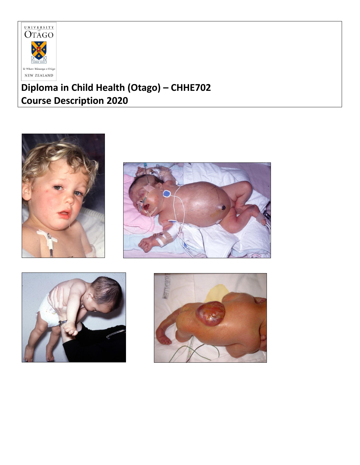

# **Diploma in Child Health (Otago) – CHHE702 Course Description 2020**







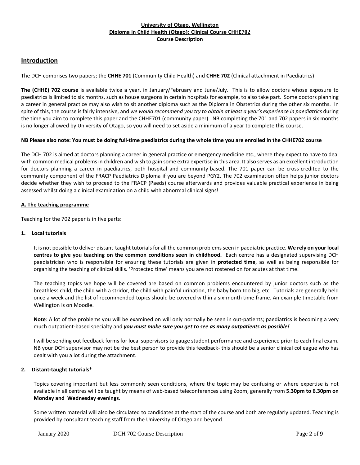# **Introduction**

The DCH comprises two papers; the **CHHE 701** (Community Child Health) and **CHHE 702** (Clinical attachment in Paediatrics)

**The (CHHE) 702 course** is available twice a year, in January/February and June/July. This is to allow doctors whose exposure to paediatrics is limited to six months, such as house surgeons in certain hospitals for example, to also take part. Some doctors planning a career in general practice may also wish to sit another diploma such as the Diploma in Obstetrics during the other six months. In spite of this, the course is fairly intensive, and we would recommend you try to obtain at least a year's experience in paediatrics during the time you aim to complete this paper and the CHHE701 (community paper). NB completing the 701 and 702 papers in six months is no longer allowed by University of Otago, so you will need to set aside a minimum of a year to complete this course.

#### NB Please also note: You must be doing full-time paediatrics during the whole time you are enrolled in the CHHE702 course

The DCH 702 is aimed at doctors planning a career in general practice or emergency medicine etc., where they expect to have to deal with common medical problemsin children and wish to gain some extra expertise in this area. It also serves as an excellent introduction for doctors planning a career in paediatrics, both hospital and community-based. The 701 paper can be cross-credited to the community component of the FRACP Paediatrics Diploma if you are beyond PGY2. The 702 examination often helps junior doctors decide whether they wish to proceed to the FRACP (Paeds) course afterwards and provides valuable practical experience in being assessed whilst doing a clinical examination on a child with abnormal clinical signs!

## **A. The teaching programme**

Teaching for the 702 paper is in five parts:

#### **1. Local tutorials**

It is not possible to deliver distant-taught tutorialsfor all the common problems seen in paediatric practice. **We rely on your local centres to give you teaching on the common conditions seen in childhood.** Each centre has a designated supervising DCH paediatrician who is responsible for ensuring these tutorials are given in **protected time**, as well as being responsible for organising the teaching of clinical skills. 'Protected time' means you are not rostered on for acutes at that time.

The teaching topics we hope will be covered are based on common problems encountered by junior doctors such as the breathless child, the child with a stridor, the child with painful urination, the baby born too big, etc. Tutorials are generally held once a week and the list of recommended topics should be covered within a six-month time frame. An example timetable from Wellington is on Moodle.

**Note**: A lot of the problems you will be examined on will only normally be seen in out-patients; paediatrics is becoming a very much outpatient-based specialty and *you must make sure you get to see as many outpatients as possible!*

I will be sending out feedback forms for local supervisors to gauge student performance and experience prior to each final exam. NB your DCH supervisor may not be the best person to provide this feedback- this should be a senior clinical colleague who has dealt with you a lot during the attachment.

#### **2. Distant-taught tutorials\***

Topics covering important but less commonly seen conditions, where the topic may be confusing or where expertise is not available in all centres will be taught by means of web-based teleconferences using Zoom, generally from **5.30pm to 6.30pm on Monday and Wednesday evenings**.

Some written material will also be circulated to candidates at the start of the course and both are regularly updated. Teaching is provided by consultant teaching staff from the University of Otago and beyond.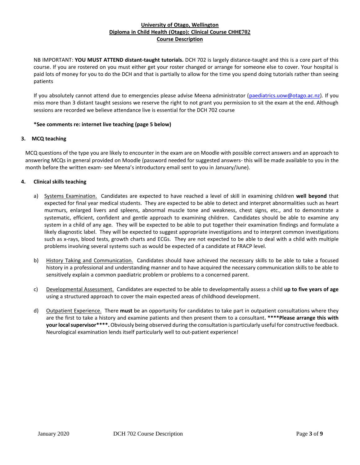NB IMPORTANT: **YOU MUST ATTEND distant-taught tutorials.** DCH 702 is largely distance-taught and this is a core part of this course. If you are rostered on you must either get your roster changed or arrange for someone else to cover. Your hospital is paid lots of money for you to do the DCH and that is partially to allow for the time you spend doing tutorials rather than seeing patients

If you absolutely cannot attend due to emergencies please advise Meena administrator [\(paediatrics.uow@otago.ac.nz\)](mailto:paediatrics.uow@otago.ac.nz). If you miss more than 3 distant taught sessions we reserve the right to not grant you permission to sit the exam at the end. Although sessions are recorded we believe attendance live is essential for the DCH 702 course

# **\*See comments re: internet live teaching (page 5 below)**

## **3. MCQ teaching**

MCQ questions of the type you are likely to encounter in the exam are on Moodle with possible correct answers and an approach to answering MCQs in general provided on Moodle (password needed for suggested answers- this will be made available to you in the month before the written exam- see Meena's introductory email sent to you in January/June).

## **4. Clinical skills teaching**

- a) Systems Examination. Candidates are expected to have reached a level of skill in examining children **well beyond** that expected for final year medical students. They are expected to be able to detect and interpret abnormalities such as heart murmurs, enlarged livers and spleens, abnormal muscle tone and weakness, chest signs, etc., and to demonstrate a systematic, efficient, confident and gentle approach to examining children. Candidates should be able to examine any system in a child of any age. They will be expected to be able to put together their examination findings and formulate a likely diagnostic label. They will be expected to suggest appropriate investigations and to interpret common investigations such as x-rays, blood tests, growth charts and ECGs. They are not expected to be able to deal with a child with multiple problems involving several systems such as would be expected of a candidate at FRACP level.
- b) History Taking and Communication. Candidates should have achieved the necessary skills to be able to take a focused history in a professional and understanding manner and to have acquired the necessary communication skills to be able to sensitively explain a common paediatric problem or problems to a concerned parent.
- c) Developmental Assessment. Candidates are expected to be able to developmentally assess a child **up to five years of age** using a structured approach to cover the main expected areas of childhood development.
- d) Outpatient Experience. There **must** be an opportunity for candidates to take part in outpatient consultations where they are the first to take a history and examine patients and then present them to a consultant**. \*\*\*\*Please arrange this with yourlocalsupervisor\*\*\*\*.** Obviously being observed during the consultation is particularly useful for constructive feedback. Neurological examination lends itself particularly well to out-patient experience!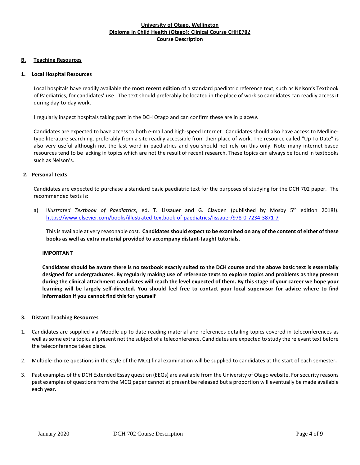## **B. Teaching Resources**

## **1. Local Hospital Resources**

Local hospitals have readily available the **most recent edition** of a standard paediatric reference text, such as Nelson's Textbook of Paediatrics, for candidates' use. The text should preferably be located in the place of work so candidates can readily access it during day-to-day work.

I regularly inspect hospitals taking part in the DCH Otago and can confirm these are in place..

Candidates are expected to have access to both e-mail and high-speed Internet. Candidates should also have access to Medlinetype literature searching, preferably from a site readily accessible from their place of work. The resource called "Up To Date" is also very useful although not the last word in paediatrics and you should not rely on this only. Note many internet-based resources tend to be lacking in topics which are not the result of recent research. These topics can always be found in textbooks such as Nelson's.

## **2. Personal Texts**

Candidates are expected to purchase a standard basic paediatric text for the purposes of studying for the DCH 702 paper. The recommended texts is:

a) I*llustrated Textbook of Paediatrics*, ed. T. Lissauer and G. Clayden (published by Mosby 5 th edition 2018!). <https://www.elsevier.com/books/illustrated-textbook-of-paediatrics/lissauer/978-0-7234-3871-7>

This is available at very reasonable cost. **Candidatesshould expect to be examined on any of the content of either of these books as well as extra material provided to accompany distant-taught tutorials.** 

#### **IMPORTANT**

Candidates should be aware there is no textbook exactly suited to the DCH course and the above basic text is essentially designed for undergraduates. By regularly making use of reference texts to explore topics and problems as they present during the clinical attachment candidates will reach the level expected of them. By this stage of your career we hope your learning will be largely self-directed. You should feel free to contact your local supervisor for advice where to find **information if you cannot find this for yourself**

#### **3. Distant Teaching Resources**

- 1. Candidates are supplied via Moodle up-to-date reading material and references detailing topics covered in teleconferences as well assome extra topics at present not the subject of a teleconference. Candidates are expected to study the relevant text before the teleconference takes place.
- 2. Multiple-choice questions in the style of the MCQ final examination will be supplied to candidates at the start of each semester**.**
- 3. Past examples of the DCH Extended Essay question (EEQs) are available from the University of Otago website. Forsecurity reasons past examples of questions from the MCQ paper cannot at present be released but a proportion will eventually be made available each year.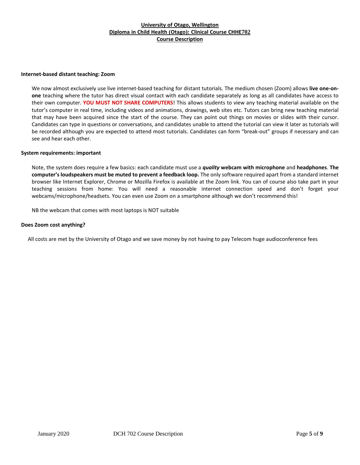#### **Internet-based distant teaching: Zoom**

We now almost exclusively use live internet-based teaching for distant tutorials. The medium chosen (Zoom) allows **live one-onone** teaching where the tutor has direct visual contact with each candidate separately as long as all candidates have access to their own computer. **YOU MUST NOT SHARE COMPUTERS**! This allows students to view any teaching material available on the tutor's computer in real time, including videos and animations, drawings, web sites etc. Tutors can bring new teaching material that may have been acquired since the start of the course. They can point out things on movies or slides with their cursor. Candidates can type in questions or conversations, and candidates unable to attend the tutorial can view it later as tutorials will be recorded although you are expected to attend most tutorials. Candidates can form "break-out" groups if necessary and can see and hear each other.

#### **System requirements: important**

Note, the system does require a few basics: each candidate must use a *quality* **webcam with microphone** and **headphones**. **The computer's loudspeakers must be muted to prevent a feedback loop.** The only software required apart from a standard internet browser like Internet Explorer, Chrome or Mozilla Firefox is available at the Zoom link. You can of course also take part in your teaching sessions from home: You will need a reasonable internet connection speed and don't forget your webcams/microphone/headsets. You can even use Zoom on a smartphone although we don't recommend this!

NB the webcam that comes with most laptops is NOT suitable

#### **Does Zoom cost anything?**

All costs are met by the University of Otago and we save money by not having to pay Telecom huge audioconference fees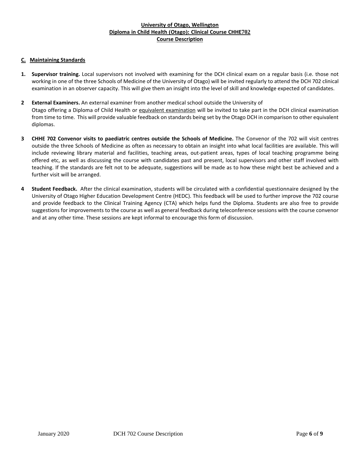# **C. Maintaining Standards**

- **1. Supervisor training.** Local supervisors not involved with examining for the DCH clinical exam on a regular basis (i.e. those not working in one of the three Schools of Medicine of the University of Otago) will be invited regularly to attend the DCH 702 clinical examination in an observer capacity. This will give them an insight into the level of skill and knowledge expected of candidates.
- **2 External Examiners.** An external examiner from another medical school outside the University of Otago offering a Diploma of Child Health or equivalent examination will be invited to take part in the DCH clinical examination from time to time. This will provide valuable feedback on standards being set by the Otago DCH in comparison to other equivalent diplomas.
- **3 CHHE 702 Convenor visits to paediatric centres outside the Schools of Medicine.** The Convenor of the 702 will visit centres outside the three Schools of Medicine as often as necessary to obtain an insight into what local facilities are available. This will include reviewing library material and facilities, teaching areas, out-patient areas, types of local teaching programme being offered etc, as well as discussing the course with candidates past and present, local supervisors and other staff involved with teaching. If the standards are felt not to be adequate, suggestions will be made as to how these might best be achieved and a further visit will be arranged.
- **4 Student Feedback.** After the clinical examination, students will be circulated with a confidential questionnaire designed by the University of Otago Higher Education Development Centre (HEDC). This feedback will be used to further improve the 702 course and provide feedback to the Clinical Training Agency (CTA) which helps fund the Diploma. Students are also free to provide suggestions for improvements to the course as well as general feedback during teleconference sessions with the course convenor and at any other time. These sessions are kept informal to encourage this form of discussion.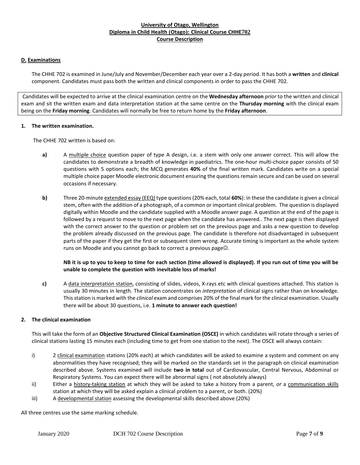## **D. Examinations**

The CHHE 702 is examined in June/July and November/December each year over a 2-day period. It has both a **written** and **clinical** component. Candidates must pass both the written and clinical components in order to pass the CHHE 702.

Candidates will be expected to arrive at the clinical examination centre on the **Wednesday afternoon** *prior* to the written and clinical exam and sit the written exam and data interpretation station at the same centre on the **Thursday morning** with the clinical exam being on the **Friday morning**. Candidates will normally be free to return home by the **Friday afternoon**.

## **1. The written examination.**

The CHHE 702 written is based on:

- **a)** A multiple choice question paper of type A design, i.e. a stem with only one answer correct. This will allow the candidates to demonstrate a breadth of knowledge in paediatrics. The one-hour multi-choice paper consists of 50 questions with 5 options each; the MCQ generates **40%** of the final written mark. Candidates write on a special multiple choice paper Moodle electronic document ensuring the questionsremain secure and can be used on several occasions if necessary.
- **b)** Three 20-minute extended essay (EEQ) type questions(20% each, total **60%**): in these the candidate is given a clinical stem, often with the addition of a photograph, of a common or important clinical problem. The question is displayed digitally within Moodle and the candidate supplied with a Moodle answer page. A question at the end of the page is followed by a request to move to the next page when the candidate has answered.. The next page is then displayed with the correct answer to the question or problem set on the previous page and asks a new question to develop the problem already discussed on the previous page. The candidate is therefore not disadvantaged in subsequent parts of the paper if they get the first or subsequent stem wrong. Accurate timing is important as the whole system runs on Moodle and you cannot go back to correct a previous page $\odot$ .

# **NB it is up to you to keep to time for each section (time allowed is displayed). If you run out of time you will be unable to complete the question with inevitable loss of marks!**

**c)** A data interpretation station, consisting of slides, videos, X-rays etc with clinical questions attached. This station is usually 30 minutes in length. The station concentrates on *interpretation* of clinical signs rather than on knowledge. Thisstation is marked with the *clinical* exam and comprises 20% of the final mark for the clinical examination. Usually there will be about 30 questions, i.e. **1 minute to answer each question!**

## **2. The clinical examination**

This will take the form of an **Objective Structured Clinical Examination (OSCE)** in which candidates will rotate through a series of clinical stations lasting 15 minutes each (including time to get from one station to the next). The OSCE will always contain:

- i) 2 clinical examination stations (20% each) at which candidates will be asked to examine a system and comment on any abnormalities they have recognised; they will be marked on the standards set in the paragraph on clinical examination described above. Systems examined will include **two in total** out of Cardiovascular, Central Nervous, Abdominal or Respiratory Systems. You can expect there will be abnormal signs ( not absolutely always)
- ii) Either a history-taking station at which they will be asked to take a history from a parent, or a communication skills station at which they will be asked explain a clinical problem to a parent, or both. (20%)
- iii) A developmental station assessing the developmental skills described above (20%)

All three centres use the same marking schedule.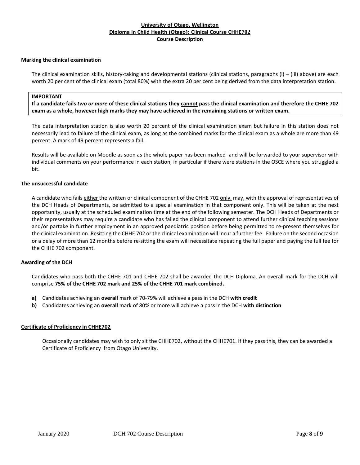## **Marking the clinical examination**

The clinical examination skills, history-taking and developmental stations (clinical stations, paragraphs (i) – (iii) above) are each worth 20 per cent of the clinical exam (total 80%) with the extra 20 per cent being derived from the data interpretation station.

# **IMPORTANT**

If a candidate fails two or more of these clinical stations they cannot pass the clinical examination and therefore the CHHE 702 **exam as a whole, however high marks they may have achieved in the remaining stations or written exam.**

The data interpretation station is also worth 20 percent of the clinical examination exam but failure in this station does not necessarily lead to failure of the clinical exam, as long as the combined marks for the clinical exam as a whole are more than 49 percent. A mark of 49 percent represents a fail.

Results will be available on Moodle as soon as the whole paper has been marked- and will be forwarded to your supervisor with individual comments on your performance in each station, in particular if there were stations in the OSCE where you struggled a bit.

## **The unsuccessful candidate**

A candidate who fails either the written or clinical component of the CHHE 702 only, may, with the approval of representatives of the DCH Heads of Departments, be admitted to a special examination in that component only. This will be taken at the next opportunity, usually at the scheduled examination time at the end of the following semester. The DCH Heads of Departments or their representatives may require a candidate who has failed the clinical component to attend further clinical teaching sessions and/or partake in further employment in an approved paediatric position before being permitted to re-present themselves for the clinical examination. Resitting the CHHE 702 or the clinical examination will incur a further fee. Failure on the second occasion or a delay of more than 12 months before re-sitting the exam will necessitate repeating the full paper and paying the full fee for the CHHE 702 component.

#### **Awarding of the DCH**

Candidates who pass both the CHHE 701 and CHHE 702 shall be awarded the DCH Diploma. An overall mark for the DCH will comprise **75% of the CHHE 702 mark and 25% of the CHHE 701 mark combined.**

- **a)** Candidates achieving an **overall** mark of 70-79% will achieve a pass in the DCH **with credit**
- **b)** Candidates achieving an **overall** mark of 80% or more will achieve a pass in the DCH **with distinction**

#### **Certificate of Proficiency in CHHE702**

Occasionally candidates may wish to only sit the CHHE702, without the CHHE701. If they pass this, they can be awarded a Certificate of Proficiency from Otago University.